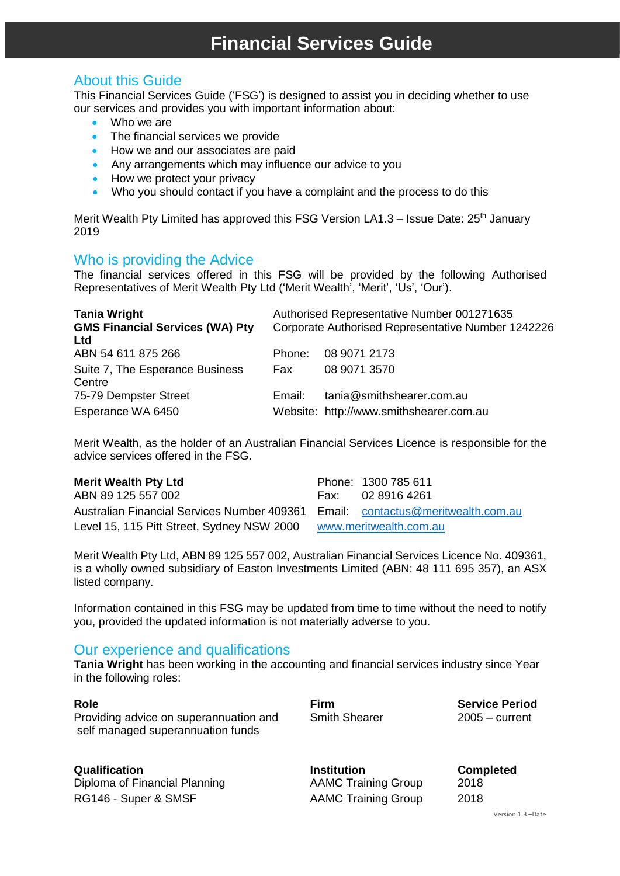## About this Guide

This Financial Services Guide ('FSG') is designed to assist you in deciding whether to use our services and provides you with important information about:

- Who we are
- The financial services we provide
- How we and our associates are paid
- Any arrangements which may influence our advice to you
- How we protect your privacy
- Who you should contact if you have a complaint and the process to do this

Merit Wealth Pty Limited has approved this FSG Version LA1.3 – Issue Date:  $25<sup>th</sup>$  January 2019

### Who is providing the Advice

The financial services offered in this FSG will be provided by the following Authorised Representatives of Merit Wealth Pty Ltd ('Merit Wealth', 'Merit', 'Us', 'Our').

| <b>Tania Wright</b>                    | Authorised Representative Number 001271635         |                                         |  |
|----------------------------------------|----------------------------------------------------|-----------------------------------------|--|
| <b>GMS Financial Services (WA) Pty</b> | Corporate Authorised Representative Number 1242226 |                                         |  |
| Ltd                                    |                                                    |                                         |  |
| ABN 54 611 875 266                     | Phone:                                             | 08 9071 2173                            |  |
| Suite 7, The Esperance Business        | Fax                                                | 08 9071 3570                            |  |
| Centre                                 |                                                    |                                         |  |
| 75-79 Dempster Street                  | Email:                                             | tania@smithshearer.com.au               |  |
| Esperance WA 6450                      |                                                    | Website: http://www.smithshearer.com.au |  |

Merit Wealth, as the holder of an Australian Financial Services Licence is responsible for the advice services offered in the FSG.

| <b>Merit Wealth Pty Ltd</b>                                                     | Phone: 1300 785 611 |
|---------------------------------------------------------------------------------|---------------------|
| ABN 89 125 557 002                                                              | Fax: 02 8916 4261   |
| Australian Financial Services Number 409361 Email: contactus@meritwealth.com.au |                     |
| Level 15, 115 Pitt Street, Sydney NSW 2000 www.meritwealth.com.au               |                     |

Merit Wealth Pty Ltd, ABN 89 125 557 002, Australian Financial Services Licence No. 409361, is a wholly owned subsidiary of Easton Investments Limited (ABN: 48 111 695 357), an ASX listed company.

Information contained in this FSG may be updated from time to time without the need to notify you, provided the updated information is not materially adverse to you.

## Our experience and qualifications

**Tania Wright** has been working in the accounting and financial services industry since Year in the following roles:

| Role<br>Providing advice on superannuation and<br>self managed superannuation funds | Firm<br><b>Smith Shearer</b> | <b>Service Period</b><br>$2005 -$ current |
|-------------------------------------------------------------------------------------|------------------------------|-------------------------------------------|
|                                                                                     |                              |                                           |

Diploma of Financial Planning **AAMC Training Group** 2018 RG146 - Super & SMSF AAMC Training Group 2018

**Qualification Institution Completed**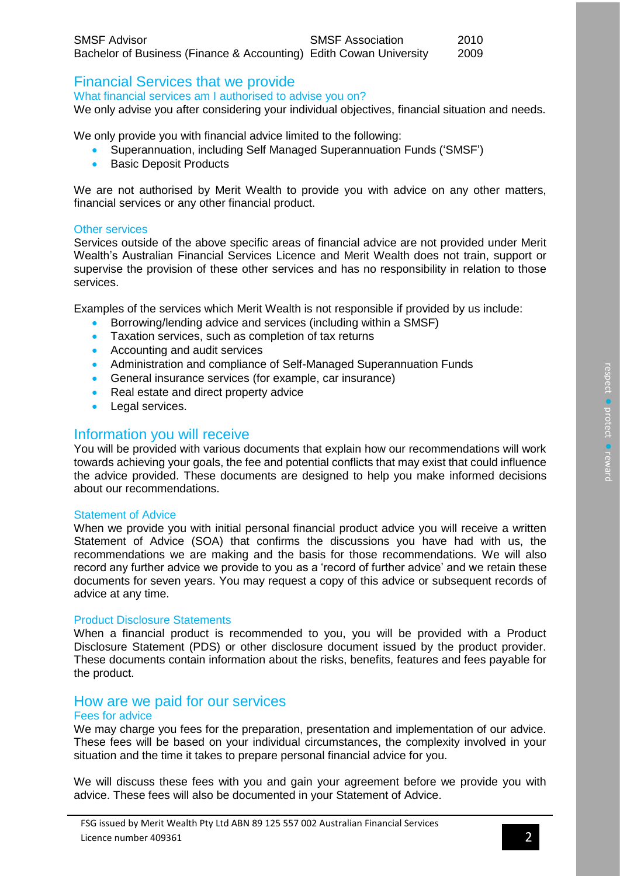| <b>SMSF Advisor</b>                                                | <b>SMSF Association</b> | 2010 |
|--------------------------------------------------------------------|-------------------------|------|
| Bachelor of Business (Finance & Accounting) Edith Cowan University |                         | 2009 |

# Financial Services that we provide

What financial services am I authorised to advise you on?

We only advise you after considering your individual objectives, financial situation and needs.

We only provide you with financial advice limited to the following:

- Superannuation, including Self Managed Superannuation Funds ('SMSF')
- Basic Deposit Products

We are not authorised by Merit Wealth to provide you with advice on any other matters, financial services or any other financial product.

#### Other services

Services outside of the above specific areas of financial advice are not provided under Merit Wealth's Australian Financial Services Licence and Merit Wealth does not train, support or supervise the provision of these other services and has no responsibility in relation to those services.

Examples of the services which Merit Wealth is not responsible if provided by us include:

- Borrowing/lending advice and services (including within a SMSF)
- Taxation services, such as completion of tax returns
- Accounting and audit services
- Administration and compliance of Self-Managed Superannuation Funds
- General insurance services (for example, car insurance)
- Real estate and direct property advice
- Legal services.

### Information you will receive

You will be provided with various documents that explain how our recommendations will work towards achieving your goals, the fee and potential conflicts that may exist that could influence the advice provided. These documents are designed to help you make informed decisions about our recommendations.

#### Statement of Advice

When we provide you with initial personal financial product advice you will receive a written Statement of Advice (SOA) that confirms the discussions you have had with us, the recommendations we are making and the basis for those recommendations. We will also record any further advice we provide to you as a 'record of further advice' and we retain these documents for seven years. You may request a copy of this advice or subsequent records of advice at any time.

#### Product Disclosure Statements

When a financial product is recommended to you, you will be provided with a Product Disclosure Statement (PDS) or other disclosure document issued by the product provider. These documents contain information about the risks, benefits, features and fees payable for the product.

### How are we paid for our services

#### Fees for advice

We may charge you fees for the preparation, presentation and implementation of our advice. These fees will be based on your individual circumstances, the complexity involved in your situation and the time it takes to prepare personal financial advice for you.

We will discuss these fees with you and gain your agreement before we provide you with advice. These fees will also be documented in your Statement of Advice.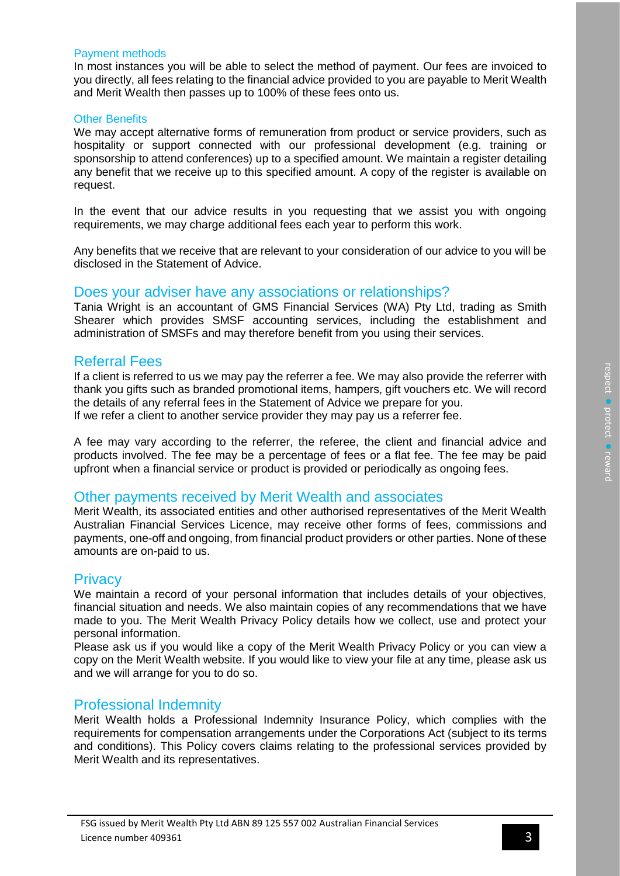#### Payment methods

In most instances you will be able to select the method of payment. Our fees are invoiced to you directly, all fees relating to the financial advice provided to you are payable to Merit Wealth and Merit Wealth then passes up to 100% of these fees onto us.

#### Other Benefits

We may accept alternative forms of remuneration from product or service providers, such as hospitality or support connected with our professional development (e.g. training or sponsorship to attend conferences) up to a specified amount. We maintain a register detailing any benefit that we receive up to this specified amount. A copy of the register is available on request.

In the event that our advice results in you requesting that we assist you with ongoing requirements, we may charge additional fees each year to perform this work.

Any benefits that we receive that are relevant to your consideration of our advice to you will be disclosed in the Statement of Advice.

### Does your adviser have any associations or relationships?

Tania Wright is an accountant of GMS Financial Services (WA) Pty Ltd, trading as Smith Shearer which provides SMSF accounting services, including the establishment and administration of SMSFs and may therefore benefit from you using their services.

### Referral Fees

If a client is referred to us we may pay the referrer a fee. We may also provide the referrer with thank you gifts such as branded promotional items, hampers, gift vouchers etc. We will record the details of any referral fees in the Statement of Advice we prepare for you. If we refer a client to another service provider they may pay us a referrer fee.

A fee may vary according to the referrer, the referee, the client and financial advice and products involved. The fee may be a percentage of fees or a flat fee. The fee may be paid upfront when a financial service or product is provided or periodically as ongoing fees.

### Other payments received by Merit Wealth and associates

Merit Wealth, its associated entities and other authorised representatives of the Merit Wealth Australian Financial Services Licence, may receive other forms of fees, commissions and payments, one-off and ongoing, from financial product providers or other parties. None of these amounts are on-paid to us.

### **Privacy**

We maintain a record of your personal information that includes details of your objectives, financial situation and needs. We also maintain copies of any recommendations that we have made to you. The Merit Wealth Privacy Policy details how we collect, use and protect your personal information.

Please ask us if you would like a copy of the Merit Wealth Privacy Policy or you can view a copy on the Merit Wealth website. If you would like to view your file at any time, please ask us and we will arrange for you to do so.

### Professional Indemnity

Merit Wealth holds a Professional Indemnity Insurance Policy, which complies with the requirements for compensation arrangements under the Corporations Act (subject to its terms and conditions). This Policy covers claims relating to the professional services provided by Merit Wealth and its representatives.